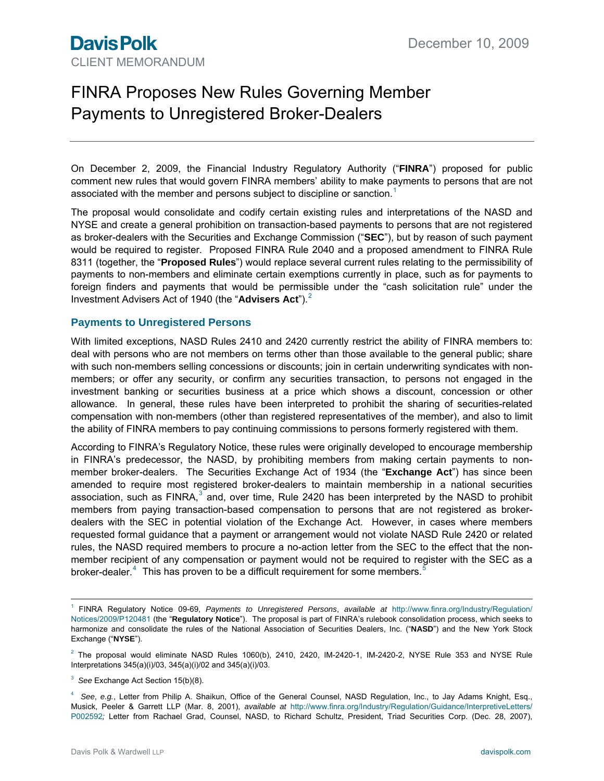# FINRA Proposes New Rules Governing Member Payments to Unregistered Broker-Dealers

On December 2, 2009, the Financial Industry Regulatory Authority ("**FINRA**") proposed for public comment new rules that would govern FINRA members' ability to make payments to persons that are not associated with the member and persons subject to discipline or sanction.<sup>[1](#page-0-0)</sup>

The proposal would consolidate and codify certain existing rules and interpretations of the NASD and NYSE and create a general prohibition on transaction-based payments to persons that are not registered as broker-dealers with the Securities and Exchange Commission ("**SEC**"), but by reason of such payment would be required to register. Proposed FINRA Rule 2040 and a proposed amendment to FINRA Rule 8311 (together, the "**Proposed Rules**") would replace several current rules relating to the permissibility of payments to non-members and eliminate certain exemptions currently in place, such as for payments to foreign finders and payments that would be permissible under the "cash solicitation rule" under the Investment Advisers Act of 1940 (the "**Advisers Act**").<sup>[2](#page-0-1)</sup>

#### **Payments to Unregistered Persons**

With limited exceptions, NASD Rules 2410 and 2420 currently restrict the ability of FINRA members to: deal with persons who are not members on terms other than those available to the general public; share with such non-members selling concessions or discounts; join in certain underwriting syndicates with nonmembers; or offer any security, or confirm any securities transaction, to persons not engaged in the investment banking or securities business at a price which shows a discount, concession or other allowance. In general, these rules have been interpreted to prohibit the sharing of securities-related compensation with non-members (other than registered representatives of the member), and also to limit the ability of FINRA members to pay continuing commissions to persons formerly registered with them.

<span id="page-0-4"></span>According to FINRA's Regulatory Notice, these rules were originally developed to encourage membership in FINRA's predecessor, the NASD, by prohibiting members from making certain payments to nonmember broker-dealers. The Securities Exchange Act of 1934 (the "**Exchange Act**") has since been amended to require most registered broker-dealers to maintain membership in a national securities association, such as FINRA,<sup>[3](#page-0-2)</sup> and, over time, Rule 2420 has been interpreted by the NASD to prohibit members from paying transaction-based compensation to persons that are not registered as brokerdealers with the SEC in potential violation of the Exchange Act. However, in cases where members requested formal guidance that a payment or arrangement would not violate NASD Rule 2420 or related rules, the NASD required members to procure a no-action letter from the SEC to the effect that the nonmember recipient of any compensation or payment would not be required to register with the SEC as a broker-dealer.<sup>[4](#page-0-3)</sup> This has proven to be a difficult requirement for some members.<sup>[5](#page-0-4)</sup>

<span id="page-0-1"></span> $^2$  The proposal would eliminate NASD Rules 1060(b), 2410, 2420, IM-2420-1, IM-2420-2, NYSE Rule 353 and NYSE Rule Interpretations 345(a)(i)/03, 345(a)(i)/02 and 345(a)(i)/03.

<span id="page-0-0"></span> $\frac{1}{1}$  FINRA Regulatory Notice 09-69, *Payments to Unregistered Persons*, *available at* [http://www.finra.org/Industry/Regulation/](http://www.finra.org/Industry/Regulation/Notices/2009/P120481) [Notices/2009/P120481](http://www.finra.org/Industry/Regulation/Notices/2009/P120481) (the "**Regulatory Notice**"). The proposal is part of FINRA's rulebook consolidation process, which seeks to harmonize and consolidate the rules of the National Association of Securities Dealers, Inc. ("**NASD**") and the New York Stock Exchange ("**NYSE**").

<span id="page-0-2"></span><sup>3</sup> *See* Exchange Act Section 15(b)(8).

<span id="page-0-3"></span><sup>4</sup> *See*, *e.g.*, Letter from Philip A. Shaikun, Office of the General Counsel, NASD Regulation, Inc., to Jay Adams Knight, Esq., Musick, Peeler & Garrett LLP (Mar. 8, 2001), *available at* [http://www.finra.org/Industry/Regulation/Guidance/InterpretiveLetters/](http://www.finra.org/Industry/Regulation/Guidance/InterpretiveLetters/P002592) [P002592](http://www.finra.org/Industry/Regulation/Guidance/InterpretiveLetters/P002592)*;* Letter from Rachael Grad, Counsel, NASD, to Richard Schultz, President, Triad Securities Corp. (Dec. 28, 2007),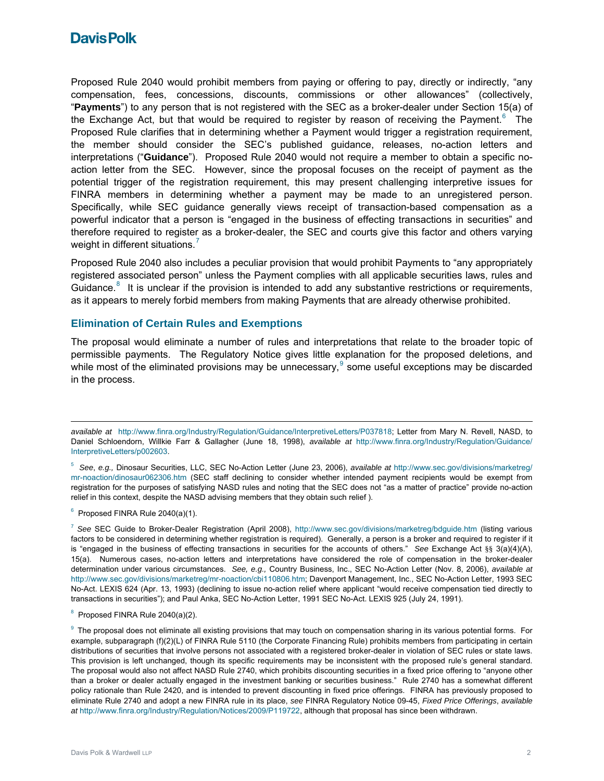### **Davis Polk**

Proposed Rule 2040 would prohibit members from paying or offering to pay, directly or indirectly, "any compensation, fees, concessions, discounts, commissions or other allowances" (collectively, "**Payments**") to any person that is not registered with the SEC as a broker-dealer under Section 15(a) of the Exchange Act, but that would be required to register by reason of receiving the Payment. $6$  The Proposed Rule clarifies that in determining whether a Payment would trigger a registration requirement, the member should consider the SEC's published guidance, releases, no-action letters and interpretations ("**Guidance**"). Proposed Rule 2040 would not require a member to obtain a specific noaction letter from the SEC. However, since the proposal focuses on the receipt of payment as the potential trigger of the registration requirement, this may present challenging interpretive issues for FINRA members in determining whether a payment may be made to an unregistered person. Specifically, while SEC guidance generally views receipt of transaction-based compensation as a powerful indicator that a person is "engaged in the business of effecting transactions in securities" and therefore required to register as a broker-dealer, the SEC and courts give this factor and others varying weight in different situations.<sup>[7](#page-1-1)</sup>

Proposed Rule 2040 also includes a peculiar provision that would prohibit Payments to "any appropriately registered associated person" unless the Payment complies with all applicable securities laws, rules and Guidance. $8$  It is unclear if the provision is intended to add any substantive restrictions or requirements, as it appears to merely forbid members from making Payments that are already otherwise prohibited.

#### **Elimination of Certain Rules and Exemptions**

The proposal would eliminate a number of rules and interpretations that relate to the broader topic of permissible payments. The Regulatory Notice gives little explanation for the proposed deletions, and while most of the eliminated provisions may be unnecessary,  $9$  some useful exceptions may be discarded in the process.

<span id="page-1-0"></span> $6$  Proposed FINRA Rule 2040(a)(1).

<span id="page-1-1"></span><sup>7</sup> *See* SEC Guide to Broker-Dealer Registration (April 2008), <http://www.sec.gov/divisions/marketreg/bdguide.htm>(listing various factors to be considered in determining whether registration is required). Generally, a person is a broker and required to register if it is "engaged in the business of effecting transactions in securities for the accounts of others." *See* Exchange Act §§ 3(a)(4)(A), 15(a). Numerous cases, no-action letters and interpretations have considered the role of compensation in the broker-dealer determination under various circumstances. *See, e.g.,* Country Business, Inc., SEC No-Action Letter (Nov. 8, 2006), *available at*  <http://www.sec.gov/divisions/marketreg/mr-noaction/cbi110806.htm>; Davenport Management, Inc., SEC No-Action Letter, 1993 SEC No-Act. LEXIS 624 (Apr. 13, 1993) (declining to issue no-action relief where applicant "would receive compensation tied directly to transactions in securities"); and Paul Anka, SEC No-Action Letter, 1991 SEC No-Act. LEXIS 925 (July 24, 1991).

 $\overline{a}$ *available at* <http://www.finra.org/Industry/Regulation/Guidance/InterpretiveLetters/P037818>; Letter from Mary N. Revell, NASD, to Daniel Schloendorn, Willkie Farr & Gallagher (June 18, 1998), *available at* [http://www.finra.org/Industry/Regulation/Guidance/](http://www.finra.org/Industry/Regulation/Guidance/InterpretiveLetters/p002603) [InterpretiveLetters/p002603.](http://www.finra.org/Industry/Regulation/Guidance/InterpretiveLetters/p002603)

<sup>5</sup> *See*, *e.g.,* Dinosaur Securities, LLC, SEC No-Action Letter (June 23, 2006), *available at* [http://www.sec.gov/divisions/marketreg/](http://www.sec.gov/divisions/marketreg/mr-noaction/dinosaur062306.htm) [mr-noaction/dinosaur062306.htm](http://www.sec.gov/divisions/marketreg/mr-noaction/dinosaur062306.htm) (SEC staff declining to consider whether intended payment recipients would be exempt from registration for the purposes of satisfying NASD rules and noting that the SEC does not "as a matter of practice" provide no-action relief in this context, despite the NASD advising members that they obtain such relief ).

<span id="page-1-2"></span><sup>&</sup>lt;sup>8</sup> Proposed FINRA Rule 2040(a)(2).

<span id="page-1-3"></span><sup>&</sup>lt;sup>9</sup> The proposal does not eliminate all existing provisions that may touch on compensation sharing in its various potential forms. For example, subparagraph (f)(2)(L) of FINRA Rule 5110 (the Corporate Financing Rule) prohibits members from participating in certain distributions of securities that involve persons not associated with a registered broker-dealer in violation of SEC rules or state laws. This provision is left unchanged, though its specific requirements may be inconsistent with the proposed rule's general standard. The proposal would also not affect NASD Rule 2740, which prohibits discounting securities in a fixed price offering to "anyone other than a broker or dealer actually engaged in the investment banking or securities business." Rule 2740 has a somewhat different policy rationale than Rule 2420, and is intended to prevent discounting in fixed price offerings. FINRA has previously proposed to eliminate Rule 2740 and adopt a new FINRA rule in its place, *see* FINRA Regulatory Notice 09-45, *Fixed Price Offerings*, *available at* <http://www.finra.org/Industry/Regulation/Notices/2009/P119722>, although that proposal has since been withdrawn.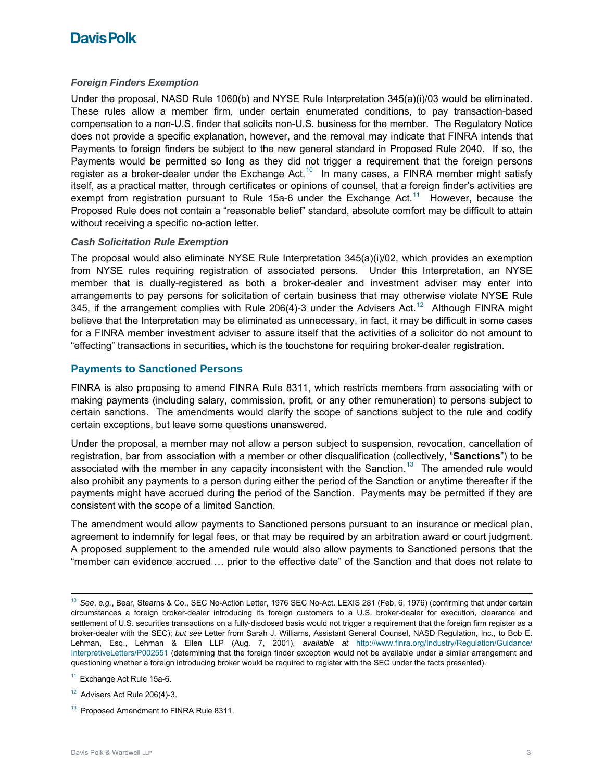## **Davis Polk**

#### *Foreign Finders Exemption*

Under the proposal, NASD Rule 1060(b) and NYSE Rule Interpretation 345(a)(i)/03 would be eliminated. These rules allow a member firm, under certain enumerated conditions, to pay transaction-based compensation to a non-U.S. finder that solicits non-U.S. business for the member. The Regulatory Notice does not provide a specific explanation, however, and the removal may indicate that FINRA intends that Payments to foreign finders be subject to the new general standard in Proposed Rule 2040. If so, the Payments would be permitted so long as they did not trigger a requirement that the foreign persons register as a broker-dealer under the Exchange Act.<sup>[10](#page-2-0)</sup> In many cases, a FINRA member might satisfy itself, as a practical matter, through certificates or opinions of counsel, that a foreign finder's activities are exempt from registration pursuant to Rule 15a-6 under the Exchange Act.<sup>[11](#page-2-1)</sup> However, because the Proposed Rule does not contain a "reasonable belief" standard, absolute comfort may be difficult to attain without receiving a specific no-action letter.

#### *Cash Solicitation Rule Exemption*

The proposal would also eliminate NYSE Rule Interpretation 345(a)(i)/02, which provides an exemption from NYSE rules requiring registration of associated persons. Under this Interpretation, an NYSE member that is dually-registered as both a broker-dealer and investment adviser may enter into arrangements to pay persons for solicitation of certain business that may otherwise violate NYSE Rule 345, if the arrangement complies with Rule 206(4)-3 under the Advisers Act.<sup>[12](#page-2-2)</sup> Although FINRA might believe that the Interpretation may be eliminated as unnecessary, in fact, it may be difficult in some cases for a FINRA member investment adviser to assure itself that the activities of a solicitor do not amount to "effecting" transactions in securities, which is the touchstone for requiring broker-dealer registration.

### **Payments to Sanctioned Persons**

FINRA is also proposing to amend FINRA Rule 8311, which restricts members from associating with or making payments (including salary, commission, profit, or any other remuneration) to persons subject to certain sanctions. The amendments would clarify the scope of sanctions subject to the rule and codify certain exceptions, but leave some questions unanswered.

Under the proposal, a member may not allow a person subject to suspension, revocation, cancellation of registration, bar from association with a member or other disqualification (collectively, "**Sanctions**") to be associated with the member in any capacity inconsistent with the Sanction.<sup>[13](#page-2-3)</sup> The amended rule would also prohibit any payments to a person during either the period of the Sanction or anytime thereafter if the payments might have accrued during the period of the Sanction. Payments may be permitted if they are consistent with the scope of a limited Sanction.

The amendment would allow payments to Sanctioned persons pursuant to an insurance or medical plan, agreement to indemnify for legal fees, or that may be required by an arbitration award or court judgment. A proposed supplement to the amended rule would also allow payments to Sanctioned persons that the "member can evidence accrued … prior to the effective date" of the Sanction and that does not relate to

<span id="page-2-0"></span><sup>10</sup>*See*, *e.g.*, Bear, Stearns & Co., SEC No-Action Letter, 1976 SEC No-Act. LEXIS 281 (Feb. 6, 1976) (confirming that under certain circumstances a foreign broker-dealer introducing its foreign customers to a U.S. broker-dealer for execution, clearance and settlement of U.S. securities transactions on a fully-disclosed basis would not trigger a requirement that the foreign firm register as a broker-dealer with the SEC); *but see* Letter from Sarah J. Williams, Assistant General Counsel, NASD Regulation, Inc., to Bob E. Lehman, Esq., Lehman & Eilen LLP (Aug. 7, 2001), *available at* [http://www.finra.org/Industry/Regulation/Guidance/](http://www.finra.org/Industry/Regulation/Guidance/InterpretiveLetters/P002551) [InterpretiveLetters/P002551](http://www.finra.org/Industry/Regulation/Guidance/InterpretiveLetters/P002551) (determining that the foreign finder exception would not be available under a similar arrangement and questioning whether a foreign introducing broker would be required to register with the SEC under the facts presented).

<span id="page-2-1"></span><sup>&</sup>lt;sup>11</sup> Exchange Act Rule 15a-6.

<span id="page-2-2"></span> $12$  Advisers Act Rule 206(4)-3.

<span id="page-2-3"></span><sup>&</sup>lt;sup>13</sup> Proposed Amendment to FINRA Rule 8311.